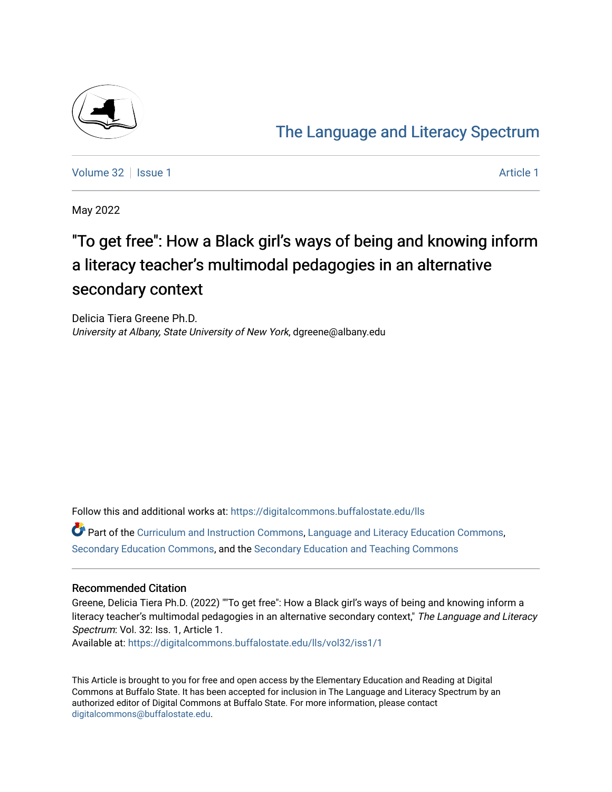

## [The Language and Literacy Spectrum](https://digitalcommons.buffalostate.edu/lls)

[Volume 32](https://digitalcommons.buffalostate.edu/lls/vol32) | [Issue 1](https://digitalcommons.buffalostate.edu/lls/vol32/iss1) [Article 1](https://digitalcommons.buffalostate.edu/lls/vol32/iss1/1) Article 1 Article 1 Article 1 Article 1 Article 1 Article 1 Article 1 Article 1

May 2022

# "To get free": How a Black girl's ways of being and knowing inform a literacy teacher's multimodal pedagogies in an alternative secondary context

Delicia Tiera Greene Ph.D. University at Albany, State University of New York, dgreene@albany.edu

Follow this and additional works at: [https://digitalcommons.buffalostate.edu/lls](https://digitalcommons.buffalostate.edu/lls?utm_source=digitalcommons.buffalostate.edu%2Flls%2Fvol32%2Fiss1%2F1&utm_medium=PDF&utm_campaign=PDFCoverPages)

Part of the [Curriculum and Instruction Commons,](https://network.bepress.com/hgg/discipline/786?utm_source=digitalcommons.buffalostate.edu%2Flls%2Fvol32%2Fiss1%2F1&utm_medium=PDF&utm_campaign=PDFCoverPages) [Language and Literacy Education Commons,](https://network.bepress.com/hgg/discipline/1380?utm_source=digitalcommons.buffalostate.edu%2Flls%2Fvol32%2Fiss1%2F1&utm_medium=PDF&utm_campaign=PDFCoverPages) [Secondary Education Commons](https://network.bepress.com/hgg/discipline/1382?utm_source=digitalcommons.buffalostate.edu%2Flls%2Fvol32%2Fiss1%2F1&utm_medium=PDF&utm_campaign=PDFCoverPages), and the [Secondary Education and Teaching Commons](https://network.bepress.com/hgg/discipline/809?utm_source=digitalcommons.buffalostate.edu%2Flls%2Fvol32%2Fiss1%2F1&utm_medium=PDF&utm_campaign=PDFCoverPages) 

## Recommended Citation

Greene, Delicia Tiera Ph.D. (2022) ""To get free": How a Black girl's ways of being and knowing inform a literacy teacher's multimodal pedagogies in an alternative secondary context," The Language and Literacy Spectrum: Vol. 32: Iss. 1, Article 1.

Available at: [https://digitalcommons.buffalostate.edu/lls/vol32/iss1/1](https://digitalcommons.buffalostate.edu/lls/vol32/iss1/1?utm_source=digitalcommons.buffalostate.edu%2Flls%2Fvol32%2Fiss1%2F1&utm_medium=PDF&utm_campaign=PDFCoverPages) 

This Article is brought to you for free and open access by the Elementary Education and Reading at Digital Commons at Buffalo State. It has been accepted for inclusion in The Language and Literacy Spectrum by an authorized editor of Digital Commons at Buffalo State. For more information, please contact [digitalcommons@buffalostate.edu.](mailto:digitalcommons@buffalostate.edu)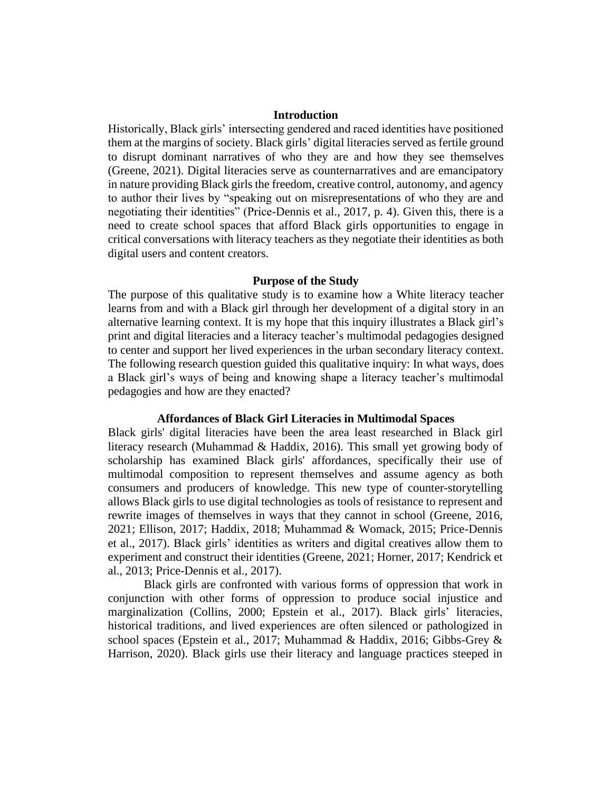## **Introduction**

Historically, Black girls' intersecting gendered and raced identities have positioned them at the margins of society. Black girls' digital literacies served as fertile ground to disrupt dominant narratives of who they are and how they see themselves (Greene, 2021). Digital literacies serve as counternarratives and are emancipatory in nature providing Black girls the freedom, creative control, autonomy, and agency to author their lives by "speaking out on misrepresentations of who they are and negotiating their identities" (Price-Dennis et al., 2017, p. 4). Given this, there is a need to create school spaces that afford Black girls opportunities to engage in critical conversations with literacy teachers as they negotiate their identities as both digital users and content creators.

#### **Purpose of the Study**

The purpose of this qualitative study is to examine how a White literacy teacher learns from and with a Black girl through her development of a digital story in an alternative learning context. It is my hope that this inquiry illustrates a Black girl's print and digital literacies and a literacy teacher's multimodal pedagogies designed to center and support her lived experiences in the urban secondary literacy context. The following research question guided this qualitative inquiry: In what ways, does a Black girl's ways of being and knowing shape a literacy teacher's multimodal pedagogies and how are they enacted?

#### **Affordances of Black Girl Literacies in Multimodal Spaces**

Black girls' digital literacies have been the area least researched in Black girl literacy research (Muhammad & Haddix, 2016). This small yet growing body of scholarship has examined Black girls' affordances, specifically their use of multimodal composition to represent themselves and assume agency as both consumers and producers of knowledge. This new type of counter-storytelling allows Black girls to use digital technologies as tools of resistance to represent and rewrite images of themselves in ways that they cannot in school (Greene, 2016, 2021; Ellison, 2017; Haddix, 2018; Muhammad & Womack, 2015; Price-Dennis et al., 2017). Black girls' identities as writers and digital creatives allow them to experiment and construct their identities (Greene, 2021; Horner, 2017; Kendrick et al., 2013; Price-Dennis et al., 2017).

Black girls are confronted with various forms of oppression that work in conjunction with other forms of oppression to produce social injustice and marginalization (Collins, 2000; Epstein et al., 2017). Black girls' literacies, historical traditions, and lived experiences are often silenced or pathologized in school spaces (Epstein et al., 2017; Muhammad & Haddix, 2016; Gibbs-Grey & Harrison, 2020). Black girls use their literacy and language practices steeped in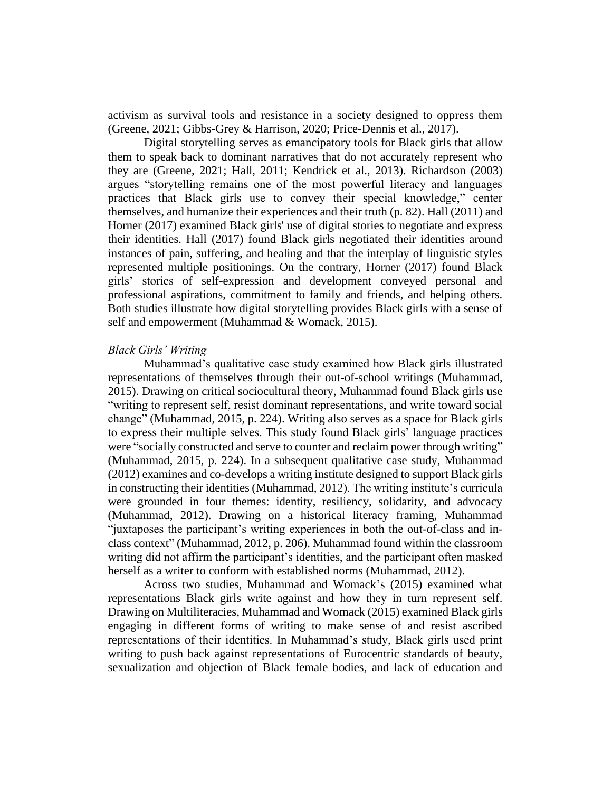activism as survival tools and resistance in a society designed to oppress them (Greene, 2021; Gibbs-Grey & Harrison, 2020; Price-Dennis et al., 2017).

Digital storytelling serves as emancipatory tools for Black girls that allow them to speak back to dominant narratives that do not accurately represent who they are (Greene, 2021; Hall, 2011; Kendrick et al., 2013). Richardson (2003) argues "storytelling remains one of the most powerful literacy and languages practices that Black girls use to convey their special knowledge," center themselves, and humanize their experiences and their truth (p. 82). Hall (2011) and Horner (2017) examined Black girls' use of digital stories to negotiate and express their identities. Hall (2017) found Black girls negotiated their identities around instances of pain, suffering, and healing and that the interplay of linguistic styles represented multiple positionings. On the contrary, Horner (2017) found Black girls' stories of self-expression and development conveyed personal and professional aspirations, commitment to family and friends, and helping others. Both studies illustrate how digital storytelling provides Black girls with a sense of self and empowerment (Muhammad & Womack, 2015).

## *Black Girls' Writing*

Muhammad's qualitative case study examined how Black girls illustrated representations of themselves through their out-of-school writings (Muhammad, 2015). Drawing on critical sociocultural theory, Muhammad found Black girls use "writing to represent self, resist dominant representations, and write toward social change" (Muhammad, 2015, p. 224). Writing also serves as a space for Black girls to express their multiple selves. This study found Black girls' language practices were "socially constructed and serve to counter and reclaim power through writing" (Muhammad, 2015, p. 224). In a subsequent qualitative case study, Muhammad (2012) examines and co-develops a writing institute designed to support Black girls in constructing their identities (Muhammad, 2012). The writing institute's curricula were grounded in four themes: identity, resiliency, solidarity, and advocacy (Muhammad, 2012). Drawing on a historical literacy framing, Muhammad "juxtaposes the participant's writing experiences in both the out-of-class and inclass context" (Muhammad, 2012, p. 206). Muhammad found within the classroom writing did not affirm the participant's identities, and the participant often masked herself as a writer to conform with established norms (Muhammad, 2012).

Across two studies, Muhammad and Womack's (2015) examined what representations Black girls write against and how they in turn represent self. Drawing on Multiliteracies, Muhammad and Womack (2015) examined Black girls engaging in different forms of writing to make sense of and resist ascribed representations of their identities. In Muhammad's study, Black girls used print writing to push back against representations of Eurocentric standards of beauty, sexualization and objection of Black female bodies, and lack of education and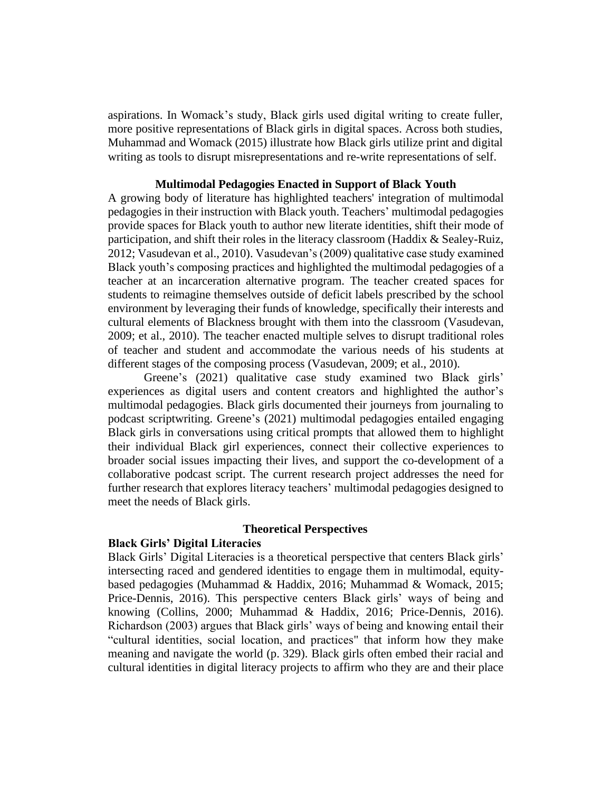aspirations. In Womack's study, Black girls used digital writing to create fuller, more positive representations of Black girls in digital spaces. Across both studies, Muhammad and Womack (2015) illustrate how Black girls utilize print and digital writing as tools to disrupt misrepresentations and re-write representations of self.

## **Multimodal Pedagogies Enacted in Support of Black Youth**

A growing body of literature has highlighted teachers' integration of multimodal pedagogies in their instruction with Black youth. Teachers' multimodal pedagogies provide spaces for Black youth to author new literate identities, shift their mode of participation, and shift their roles in the literacy classroom (Haddix & Sealey-Ruiz, 2012; Vasudevan et al., 2010). Vasudevan's (2009) qualitative case study examined Black youth's composing practices and highlighted the multimodal pedagogies of a teacher at an incarceration alternative program. The teacher created spaces for students to reimagine themselves outside of deficit labels prescribed by the school environment by leveraging their funds of knowledge, specifically their interests and cultural elements of Blackness brought with them into the classroom (Vasudevan, 2009; et al., 2010). The teacher enacted multiple selves to disrupt traditional roles of teacher and student and accommodate the various needs of his students at different stages of the composing process (Vasudevan, 2009; et al., 2010).

Greene's (2021) qualitative case study examined two Black girls' experiences as digital users and content creators and highlighted the author's multimodal pedagogies. Black girls documented their journeys from journaling to podcast scriptwriting. Greene's (2021) multimodal pedagogies entailed engaging Black girls in conversations using critical prompts that allowed them to highlight their individual Black girl experiences, connect their collective experiences to broader social issues impacting their lives, and support the co-development of a collaborative podcast script. The current research project addresses the need for further research that explores literacy teachers' multimodal pedagogies designed to meet the needs of Black girls.

## **Theoretical Perspectives**

#### **Black Girls' Digital Literacies**

Black Girls' Digital Literacies is a theoretical perspective that centers Black girls' intersecting raced and gendered identities to engage them in multimodal, equitybased pedagogies (Muhammad & Haddix, 2016; Muhammad & Womack, 2015; Price-Dennis, 2016). This perspective centers Black girls' ways of being and knowing (Collins, 2000; Muhammad & Haddix, 2016; Price-Dennis, 2016). Richardson (2003) argues that Black girls' ways of being and knowing entail their "cultural identities, social location, and practices" that inform how they make meaning and navigate the world (p. 329). Black girls often embed their racial and cultural identities in digital literacy projects to affirm who they are and their place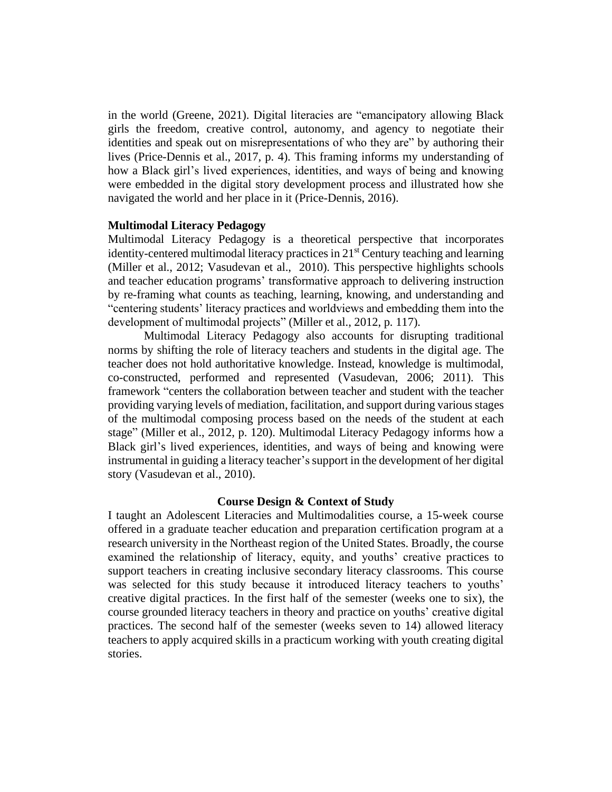in the world (Greene, 2021). Digital literacies are "emancipatory allowing Black girls the freedom, creative control, autonomy, and agency to negotiate their identities and speak out on misrepresentations of who they are" by authoring their lives (Price-Dennis et al., 2017, p. 4). This framing informs my understanding of how a Black girl's lived experiences, identities, and ways of being and knowing were embedded in the digital story development process and illustrated how she navigated the world and her place in it (Price-Dennis, 2016).

## **Multimodal Literacy Pedagogy**

Multimodal Literacy Pedagogy is a theoretical perspective that incorporates identity-centered multimodal literacy practices in 21<sup>st</sup> Century teaching and learning (Miller et al., 2012; Vasudevan et al., 2010). This perspective highlights schools and teacher education programs' transformative approach to delivering instruction by re-framing what counts as teaching, learning, knowing, and understanding and "centering students' literacy practices and worldviews and embedding them into the development of multimodal projects" (Miller et al., 2012, p. 117).

Multimodal Literacy Pedagogy also accounts for disrupting traditional norms by shifting the role of literacy teachers and students in the digital age. The teacher does not hold authoritative knowledge. Instead, knowledge is multimodal, co-constructed, performed and represented (Vasudevan, 2006; 2011). This framework "centers the collaboration between teacher and student with the teacher providing varying levels of mediation, facilitation, and support during various stages of the multimodal composing process based on the needs of the student at each stage" (Miller et al., 2012, p. 120). Multimodal Literacy Pedagogy informs how a Black girl's lived experiences, identities, and ways of being and knowing were instrumental in guiding a literacy teacher's support in the development of her digital story (Vasudevan et al., 2010).

#### **Course Design & Context of Study**

I taught an Adolescent Literacies and Multimodalities course, a 15-week course offered in a graduate teacher education and preparation certification program at a research university in the Northeast region of the United States. Broadly, the course examined the relationship of literacy, equity, and youths' creative practices to support teachers in creating inclusive secondary literacy classrooms. This course was selected for this study because it introduced literacy teachers to youths' creative digital practices. In the first half of the semester (weeks one to six), the course grounded literacy teachers in theory and practice on youths' creative digital practices. The second half of the semester (weeks seven to 14) allowed literacy teachers to apply acquired skills in a practicum working with youth creating digital stories.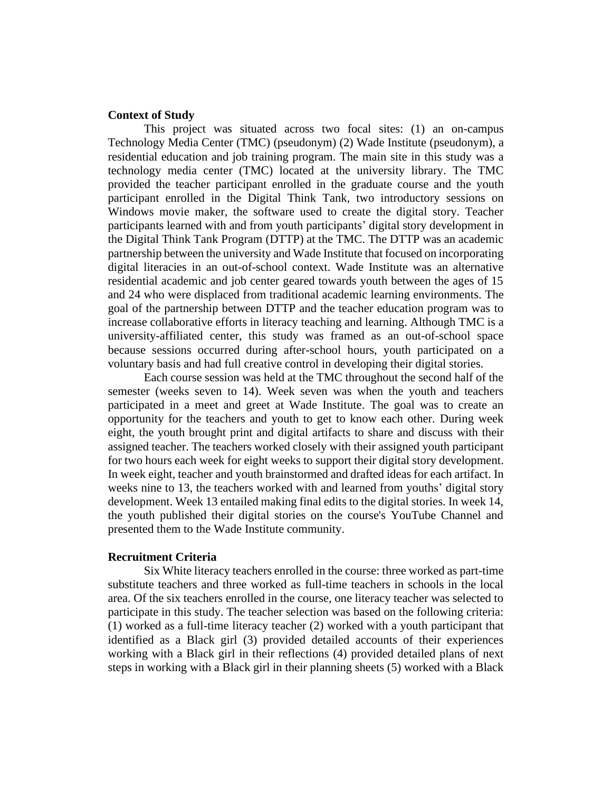## **Context of Study**

This project was situated across two focal sites: (1) an on-campus Technology Media Center (TMC) (pseudonym) (2) Wade Institute (pseudonym), a residential education and job training program. The main site in this study was a technology media center (TMC) located at the university library. The TMC provided the teacher participant enrolled in the graduate course and the youth participant enrolled in the Digital Think Tank, two introductory sessions on Windows movie maker, the software used to create the digital story. Teacher participants learned with and from youth participants' digital story development in the Digital Think Tank Program (DTTP) at the TMC. The DTTP was an academic partnership between the university and Wade Institute that focused on incorporating digital literacies in an out-of-school context. Wade Institute was an alternative residential academic and job center geared towards youth between the ages of 15 and 24 who were displaced from traditional academic learning environments. The goal of the partnership between DTTP and the teacher education program was to increase collaborative efforts in literacy teaching and learning. Although TMC is a university-affiliated center, this study was framed as an out-of-school space because sessions occurred during after-school hours, youth participated on a voluntary basis and had full creative control in developing their digital stories.

Each course session was held at the TMC throughout the second half of the semester (weeks seven to 14). Week seven was when the youth and teachers participated in a meet and greet at Wade Institute. The goal was to create an opportunity for the teachers and youth to get to know each other. During week eight, the youth brought print and digital artifacts to share and discuss with their assigned teacher. The teachers worked closely with their assigned youth participant for two hours each week for eight weeks to support their digital story development. In week eight, teacher and youth brainstormed and drafted ideas for each artifact. In weeks nine to 13, the teachers worked with and learned from youths' digital story development. Week 13 entailed making final edits to the digital stories. In week 14, the youth published their digital stories on the course's YouTube Channel and presented them to the Wade Institute community.

#### **Recruitment Criteria**

Six White literacy teachers enrolled in the course: three worked as part-time substitute teachers and three worked as full-time teachers in schools in the local area. Of the six teachers enrolled in the course, one literacy teacher was selected to participate in this study. The teacher selection was based on the following criteria: (1) worked as a full-time literacy teacher (2) worked with a youth participant that identified as a Black girl (3) provided detailed accounts of their experiences working with a Black girl in their reflections (4) provided detailed plans of next steps in working with a Black girl in their planning sheets (5) worked with a Black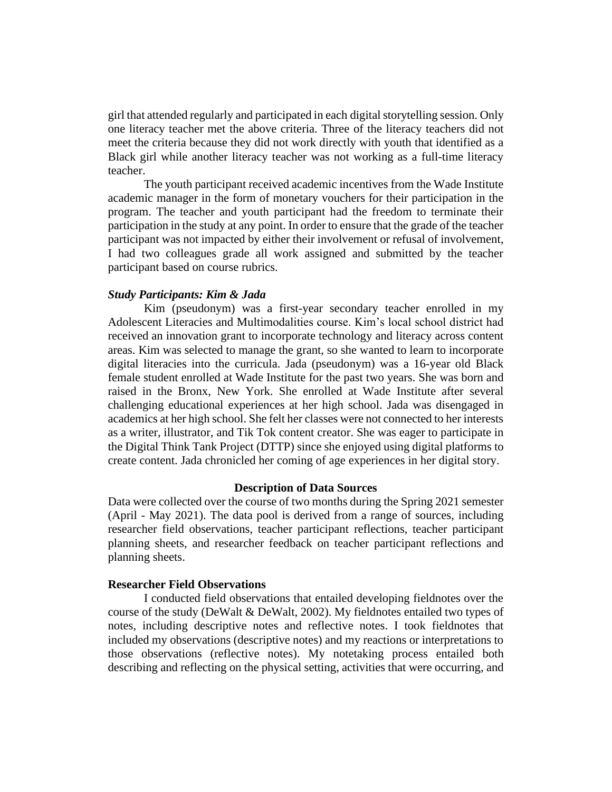girl that attended regularly and participated in each digital storytelling session. Only one literacy teacher met the above criteria. Three of the literacy teachers did not meet the criteria because they did not work directly with youth that identified as a Black girl while another literacy teacher was not working as a full-time literacy teacher.

The youth participant received academic incentives from the Wade Institute academic manager in the form of monetary vouchers for their participation in the program. The teacher and youth participant had the freedom to terminate their participation in the study at any point. In order to ensure that the grade of the teacher participant was not impacted by either their involvement or refusal of involvement, I had two colleagues grade all work assigned and submitted by the teacher participant based on course rubrics.

#### *Study Participants: Kim & Jada*

Kim (pseudonym) was a first-year secondary teacher enrolled in my Adolescent Literacies and Multimodalities course. Kim's local school district had received an innovation grant to incorporate technology and literacy across content areas. Kim was selected to manage the grant, so she wanted to learn to incorporate digital literacies into the curricula. Jada (pseudonym) was a 16-year old Black female student enrolled at Wade Institute for the past two years. She was born and raised in the Bronx, New York. She enrolled at Wade Institute after several challenging educational experiences at her high school. Jada was disengaged in academics at her high school. She felt her classes were not connected to her interests as a writer, illustrator, and Tik Tok content creator. She was eager to participate in the Digital Think Tank Project (DTTP) since she enjoyed using digital platforms to create content. Jada chronicled her coming of age experiences in her digital story.

#### **Description of Data Sources**

Data were collected over the course of two months during the Spring 2021 semester (April - May 2021). The data pool is derived from a range of sources, including researcher field observations, teacher participant reflections, teacher participant planning sheets, and researcher feedback on teacher participant reflections and planning sheets.

## **Researcher Field Observations**

I conducted field observations that entailed developing fieldnotes over the course of the study (DeWalt & DeWalt, 2002). My fieldnotes entailed two types of notes, including descriptive notes and reflective notes. I took fieldnotes that included my observations (descriptive notes) and my reactions or interpretations to those observations (reflective notes). My notetaking process entailed both describing and reflecting on the physical setting, activities that were occurring, and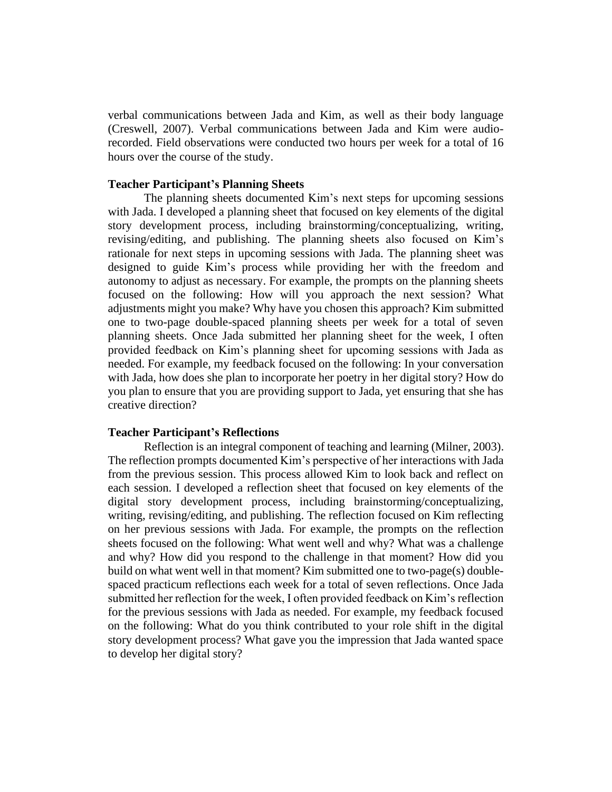verbal communications between Jada and Kim, as well as their body language (Creswell, 2007). Verbal communications between Jada and Kim were audiorecorded. Field observations were conducted two hours per week for a total of 16 hours over the course of the study.

#### **Teacher Participant's Planning Sheets**

The planning sheets documented Kim's next steps for upcoming sessions with Jada. I developed a planning sheet that focused on key elements of the digital story development process, including brainstorming/conceptualizing, writing, revising/editing, and publishing. The planning sheets also focused on Kim's rationale for next steps in upcoming sessions with Jada. The planning sheet was designed to guide Kim's process while providing her with the freedom and autonomy to adjust as necessary. For example, the prompts on the planning sheets focused on the following: How will you approach the next session? What adjustments might you make? Why have you chosen this approach? Kim submitted one to two-page double-spaced planning sheets per week for a total of seven planning sheets. Once Jada submitted her planning sheet for the week, I often provided feedback on Kim's planning sheet for upcoming sessions with Jada as needed. For example, my feedback focused on the following: In your conversation with Jada, how does she plan to incorporate her poetry in her digital story? How do you plan to ensure that you are providing support to Jada, yet ensuring that she has creative direction?

#### **Teacher Participant's Reflections**

Reflection is an integral component of teaching and learning (Milner, 2003). The reflection prompts documented Kim's perspective of her interactions with Jada from the previous session. This process allowed Kim to look back and reflect on each session. I developed a reflection sheet that focused on key elements of the digital story development process, including brainstorming/conceptualizing, writing, revising/editing, and publishing. The reflection focused on Kim reflecting on her previous sessions with Jada. For example, the prompts on the reflection sheets focused on the following: What went well and why? What was a challenge and why? How did you respond to the challenge in that moment? How did you build on what went well in that moment? Kim submitted one to two-page(s) doublespaced practicum reflections each week for a total of seven reflections. Once Jada submitted her reflection for the week, I often provided feedback on Kim's reflection for the previous sessions with Jada as needed. For example, my feedback focused on the following: What do you think contributed to your role shift in the digital story development process? What gave you the impression that Jada wanted space to develop her digital story?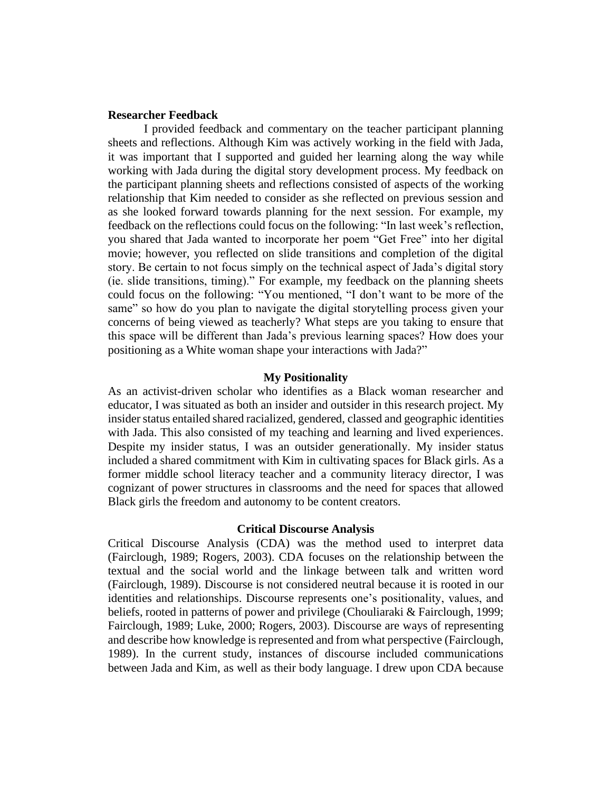## **Researcher Feedback**

I provided feedback and commentary on the teacher participant planning sheets and reflections. Although Kim was actively working in the field with Jada, it was important that I supported and guided her learning along the way while working with Jada during the digital story development process. My feedback on the participant planning sheets and reflections consisted of aspects of the working relationship that Kim needed to consider as she reflected on previous session and as she looked forward towards planning for the next session. For example, my feedback on the reflections could focus on the following: "In last week's reflection, you shared that Jada wanted to incorporate her poem "Get Free" into her digital movie; however, you reflected on slide transitions and completion of the digital story. Be certain to not focus simply on the technical aspect of Jada's digital story (ie. slide transitions, timing)." For example, my feedback on the planning sheets could focus on the following: "You mentioned, "I don't want to be more of the same" so how do you plan to navigate the digital storytelling process given your concerns of being viewed as teacherly? What steps are you taking to ensure that this space will be different than Jada's previous learning spaces? How does your positioning as a White woman shape your interactions with Jada?"

#### **My Positionality**

As an activist-driven scholar who identifies as a Black woman researcher and educator, I was situated as both an insider and outsider in this research project. My insider status entailed shared racialized, gendered, classed and geographic identities with Jada. This also consisted of my teaching and learning and lived experiences. Despite my insider status, I was an outsider generationally. My insider status included a shared commitment with Kim in cultivating spaces for Black girls. As a former middle school literacy teacher and a community literacy director, I was cognizant of power structures in classrooms and the need for spaces that allowed Black girls the freedom and autonomy to be content creators.

#### **Critical Discourse Analysis**

Critical Discourse Analysis (CDA) was the method used to interpret data (Fairclough, 1989; Rogers, 2003). CDA focuses on the relationship between the textual and the social world and the linkage between talk and written word (Fairclough, 1989). Discourse is not considered neutral because it is rooted in our identities and relationships. Discourse represents one's positionality, values, and beliefs, rooted in patterns of power and privilege (Chouliaraki & Fairclough, 1999; Fairclough, 1989; Luke, 2000; Rogers, 2003). Discourse are ways of representing and describe how knowledge is represented and from what perspective (Fairclough, 1989). In the current study, instances of discourse included communications between Jada and Kim, as well as their body language. I drew upon CDA because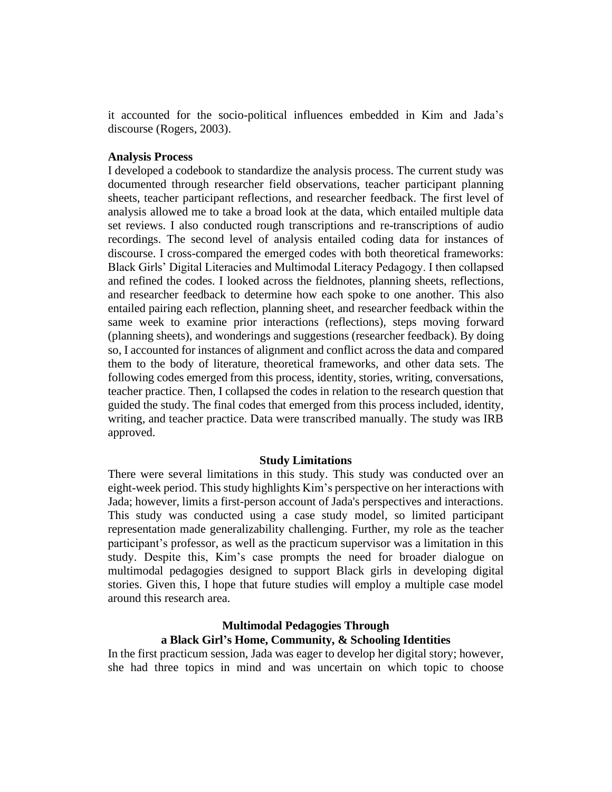it accounted for the socio-political influences embedded in Kim and Jada's discourse (Rogers, 2003).

#### **Analysis Process**

I developed a codebook to standardize the analysis process. The current study was documented through researcher field observations, teacher participant planning sheets, teacher participant reflections, and researcher feedback. The first level of analysis allowed me to take a broad look at the data, which entailed multiple data set reviews. I also conducted rough transcriptions and re-transcriptions of audio recordings. The second level of analysis entailed coding data for instances of discourse. I cross-compared the emerged codes with both theoretical frameworks: Black Girls' Digital Literacies and Multimodal Literacy Pedagogy. I then collapsed and refined the codes. I looked across the fieldnotes, planning sheets, reflections, and researcher feedback to determine how each spoke to one another. This also entailed pairing each reflection, planning sheet, and researcher feedback within the same week to examine prior interactions (reflections), steps moving forward (planning sheets), and wonderings and suggestions (researcher feedback). By doing so, I accounted for instances of alignment and conflict across the data and compared them to the body of literature, theoretical frameworks, and other data sets. The following codes emerged from this process, identity, stories, writing, conversations, teacher practice. Then, I collapsed the codes in relation to the research question that guided the study. The final codes that emerged from this process included, identity, writing, and teacher practice. Data were transcribed manually. The study was IRB approved.

#### **Study Limitations**

There were several limitations in this study. This study was conducted over an eight-week period. This study highlights Kim's perspective on her interactions with Jada; however, limits a first-person account of Jada's perspectives and interactions. This study was conducted using a case study model, so limited participant representation made generalizability challenging. Further, my role as the teacher participant's professor, as well as the practicum supervisor was a limitation in this study. Despite this, Kim's case prompts the need for broader dialogue on multimodal pedagogies designed to support Black girls in developing digital stories. Given this, I hope that future studies will employ a multiple case model around this research area.

## **Multimodal Pedagogies Through a Black Girl's Home, Community, & Schooling Identities**

In the first practicum session, Jada was eager to develop her digital story; however, she had three topics in mind and was uncertain on which topic to choose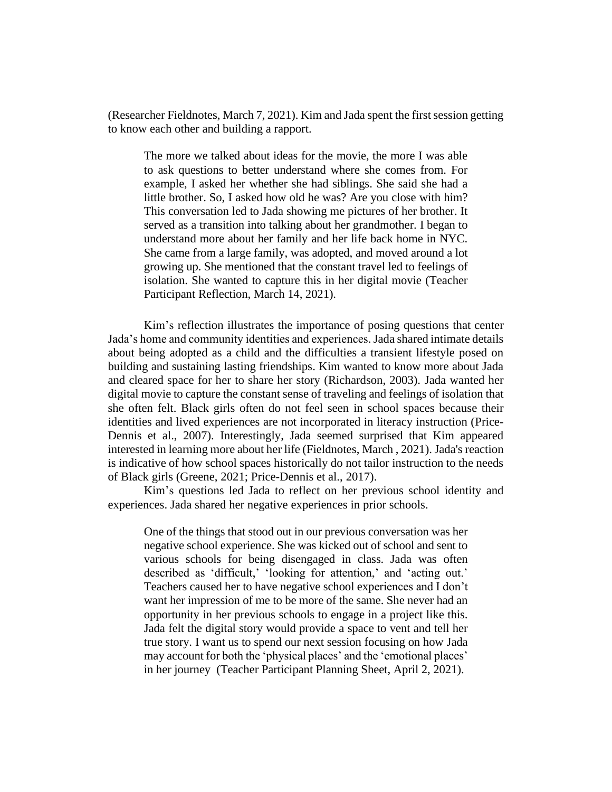(Researcher Fieldnotes, March 7, 2021). Kim and Jada spent the first session getting to know each other and building a rapport.

The more we talked about ideas for the movie, the more I was able to ask questions to better understand where she comes from. For example, I asked her whether she had siblings. She said she had a little brother. So, I asked how old he was? Are you close with him? This conversation led to Jada showing me pictures of her brother. It served as a transition into talking about her grandmother. I began to understand more about her family and her life back home in NYC. She came from a large family, was adopted, and moved around a lot growing up. She mentioned that the constant travel led to feelings of isolation. She wanted to capture this in her digital movie (Teacher Participant Reflection, March 14, 2021).

Kim's reflection illustrates the importance of posing questions that center Jada's home and community identities and experiences. Jada shared intimate details about being adopted as a child and the difficulties a transient lifestyle posed on building and sustaining lasting friendships. Kim wanted to know more about Jada and cleared space for her to share her story (Richardson, 2003). Jada wanted her digital movie to capture the constant sense of traveling and feelings of isolation that she often felt. Black girls often do not feel seen in school spaces because their identities and lived experiences are not incorporated in literacy instruction (Price-Dennis et al., 2007). Interestingly, Jada seemed surprised that Kim appeared interested in learning more about her life (Fieldnotes, March , 2021). Jada's reaction is indicative of how school spaces historically do not tailor instruction to the needs of Black girls (Greene, 2021; Price-Dennis et al., 2017).

Kim's questions led Jada to reflect on her previous school identity and experiences. Jada shared her negative experiences in prior schools.

One of the things that stood out in our previous conversation was her negative school experience. She was kicked out of school and sent to various schools for being disengaged in class. Jada was often described as 'difficult,' 'looking for attention,' and 'acting out.' Teachers caused her to have negative school experiences and I don't want her impression of me to be more of the same. She never had an opportunity in her previous schools to engage in a project like this. Jada felt the digital story would provide a space to vent and tell her true story. I want us to spend our next session focusing on how Jada may account for both the 'physical places' and the 'emotional places' in her journey (Teacher Participant Planning Sheet, April 2, 2021).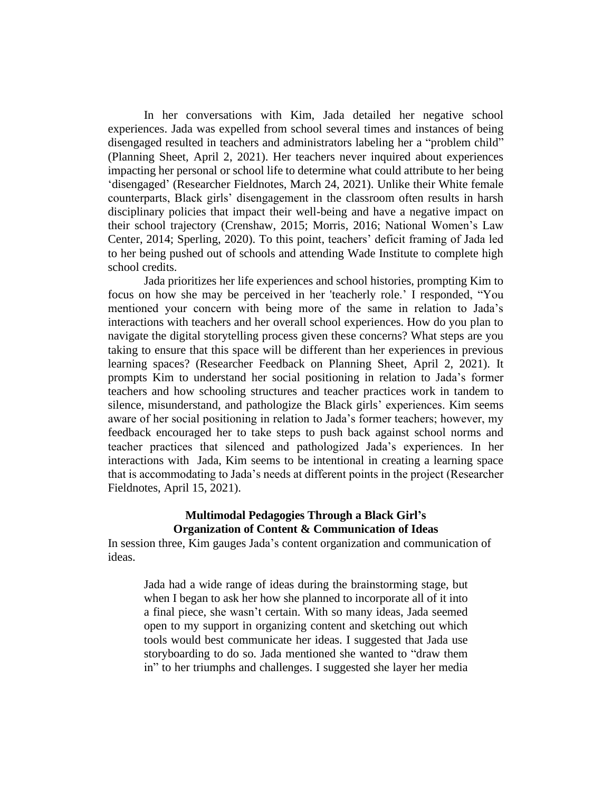In her conversations with Kim, Jada detailed her negative school experiences. Jada was expelled from school several times and instances of being disengaged resulted in teachers and administrators labeling her a "problem child" (Planning Sheet, April 2, 2021). Her teachers never inquired about experiences impacting her personal or school life to determine what could attribute to her being 'disengaged' (Researcher Fieldnotes, March 24, 2021). Unlike their White female counterparts, Black girls' disengagement in the classroom often results in harsh disciplinary policies that impact their well-being and have a negative impact on their school trajectory (Crenshaw, 2015; Morris, 2016; National Women's Law Center, 2014; Sperling, 2020). To this point, teachers' deficit framing of Jada led to her being pushed out of schools and attending Wade Institute to complete high school credits.

Jada prioritizes her life experiences and school histories, prompting Kim to focus on how she may be perceived in her 'teacherly role.' I responded, "You mentioned your concern with being more of the same in relation to Jada's interactions with teachers and her overall school experiences. How do you plan to navigate the digital storytelling process given these concerns? What steps are you taking to ensure that this space will be different than her experiences in previous learning spaces? (Researcher Feedback on Planning Sheet, April 2, 2021). It prompts Kim to understand her social positioning in relation to Jada's former teachers and how schooling structures and teacher practices work in tandem to silence, misunderstand, and pathologize the Black girls' experiences. Kim seems aware of her social positioning in relation to Jada's former teachers; however, my feedback encouraged her to take steps to push back against school norms and teacher practices that silenced and pathologized Jada's experiences. In her interactions with Jada, Kim seems to be intentional in creating a learning space that is accommodating to Jada's needs at different points in the project (Researcher Fieldnotes, April 15, 2021).

## **Multimodal Pedagogies Through a Black Girl's Organization of Content & Communication of Ideas**

In session three, Kim gauges Jada's content organization and communication of ideas.

Jada had a wide range of ideas during the brainstorming stage, but when I began to ask her how she planned to incorporate all of it into a final piece, she wasn't certain. With so many ideas, Jada seemed open to my support in organizing content and sketching out which tools would best communicate her ideas. I suggested that Jada use storyboarding to do so. Jada mentioned she wanted to "draw them in" to her triumphs and challenges. I suggested she layer her media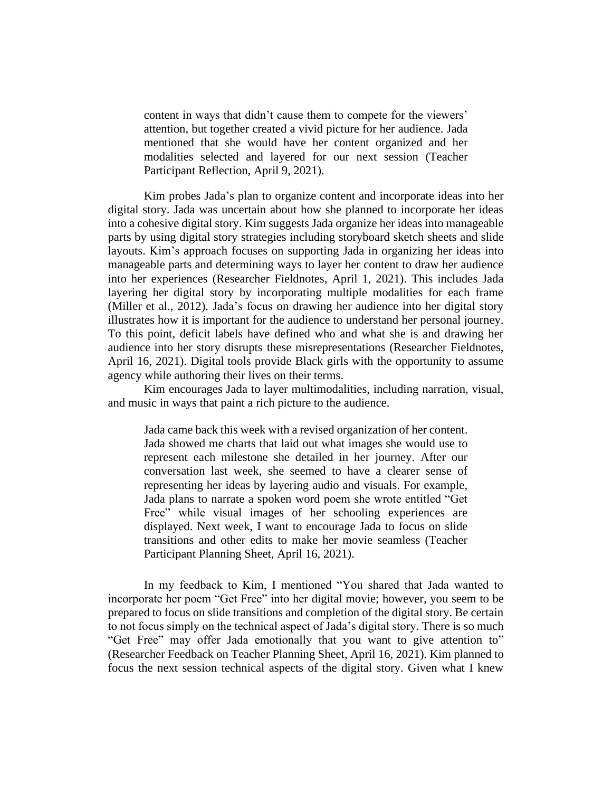content in ways that didn't cause them to compete for the viewers' attention, but together created a vivid picture for her audience. Jada mentioned that she would have her content organized and her modalities selected and layered for our next session (Teacher Participant Reflection, April 9, 2021).

Kim probes Jada's plan to organize content and incorporate ideas into her digital story. Jada was uncertain about how she planned to incorporate her ideas into a cohesive digital story. Kim suggests Jada organize her ideas into manageable parts by using digital story strategies including storyboard sketch sheets and slide layouts. Kim's approach focuses on supporting Jada in organizing her ideas into manageable parts and determining ways to layer her content to draw her audience into her experiences (Researcher Fieldnotes, April 1, 2021). This includes Jada layering her digital story by incorporating multiple modalities for each frame (Miller et al., 2012). Jada's focus on drawing her audience into her digital story illustrates how it is important for the audience to understand her personal journey. To this point, deficit labels have defined who and what she is and drawing her audience into her story disrupts these misrepresentations (Researcher Fieldnotes, April 16, 2021). Digital tools provide Black girls with the opportunity to assume agency while authoring their lives on their terms.

Kim encourages Jada to layer multimodalities, including narration, visual, and music in ways that paint a rich picture to the audience.

Jada came back this week with a revised organization of her content. Jada showed me charts that laid out what images she would use to represent each milestone she detailed in her journey. After our conversation last week, she seemed to have a clearer sense of representing her ideas by layering audio and visuals. For example, Jada plans to narrate a spoken word poem she wrote entitled "Get Free" while visual images of her schooling experiences are displayed. Next week, I want to encourage Jada to focus on slide transitions and other edits to make her movie seamless (Teacher Participant Planning Sheet, April 16, 2021).

In my feedback to Kim, I mentioned "You shared that Jada wanted to incorporate her poem "Get Free" into her digital movie; however, you seem to be prepared to focus on slide transitions and completion of the digital story. Be certain to not focus simply on the technical aspect of Jada's digital story. There is so much "Get Free" may offer Jada emotionally that you want to give attention to" (Researcher Feedback on Teacher Planning Sheet, April 16, 2021). Kim planned to focus the next session technical aspects of the digital story. Given what I knew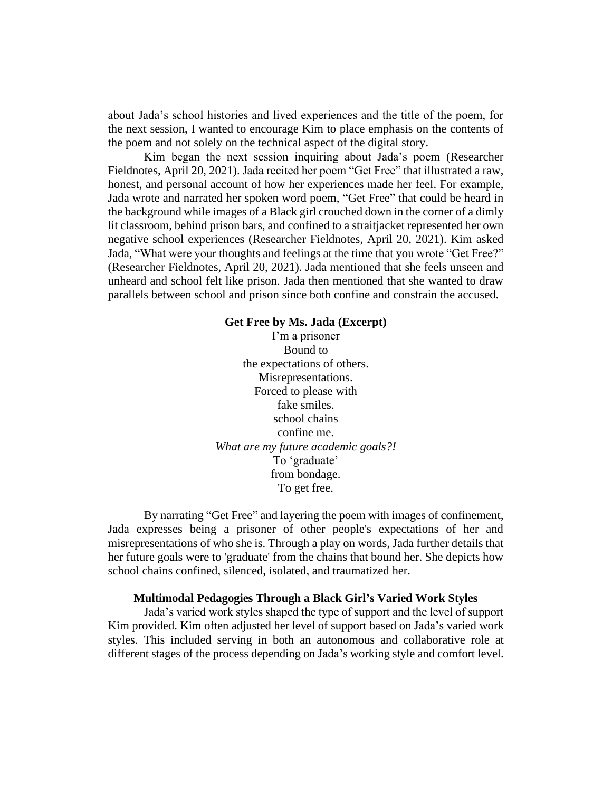about Jada's school histories and lived experiences and the title of the poem, for the next session, I wanted to encourage Kim to place emphasis on the contents of the poem and not solely on the technical aspect of the digital story.

Kim began the next session inquiring about Jada's poem (Researcher Fieldnotes, April 20, 2021). Jada recited her poem "Get Free" that illustrated a raw, honest, and personal account of how her experiences made her feel. For example, Jada wrote and narrated her spoken word poem, "Get Free" that could be heard in the background while images of a Black girl crouched down in the corner of a dimly lit classroom, behind prison bars, and confined to a straitjacket represented her own negative school experiences (Researcher Fieldnotes, April 20, 2021). Kim asked Jada, "What were your thoughts and feelings at the time that you wrote "Get Free?" (Researcher Fieldnotes, April 20, 2021). Jada mentioned that she feels unseen and unheard and school felt like prison. Jada then mentioned that she wanted to draw parallels between school and prison since both confine and constrain the accused.

#### **Get Free by Ms. Jada (Excerpt)**

I'm a prisoner Bound to the expectations of others. Misrepresentations. Forced to please with fake smiles. school chains confine me. *What are my future academic goals?!* To 'graduate' from bondage. To get free.

By narrating "Get Free" and layering the poem with images of confinement, Jada expresses being a prisoner of other people's expectations of her and misrepresentations of who she is. Through a play on words, Jada further details that her future goals were to 'graduate' from the chains that bound her. She depicts how school chains confined, silenced, isolated, and traumatized her.

#### **Multimodal Pedagogies Through a Black Girl's Varied Work Styles**

Jada's varied work styles shaped the type of support and the level of support Kim provided. Kim often adjusted her level of support based on Jada's varied work styles. This included serving in both an autonomous and collaborative role at different stages of the process depending on Jada's working style and comfort level.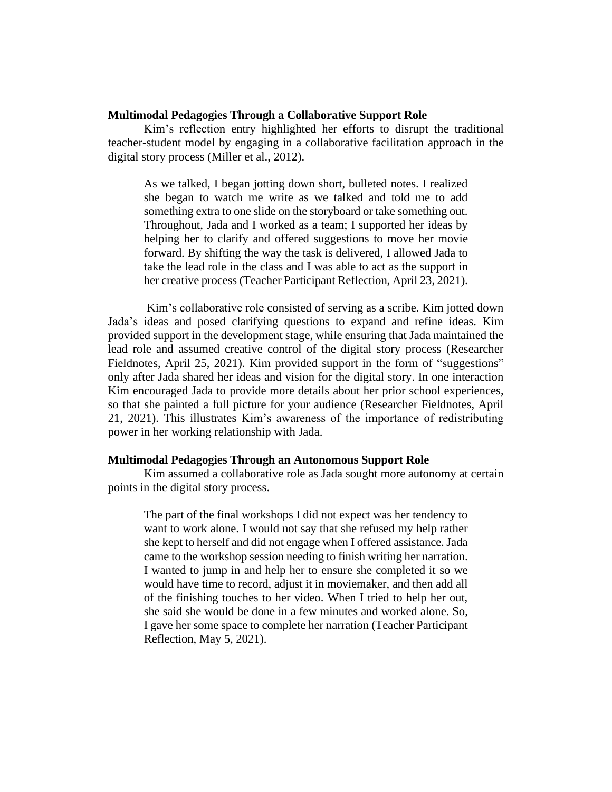## **Multimodal Pedagogies Through a Collaborative Support Role**

Kim's reflection entry highlighted her efforts to disrupt the traditional teacher-student model by engaging in a collaborative facilitation approach in the digital story process (Miller et al., 2012).

As we talked, I began jotting down short, bulleted notes. I realized she began to watch me write as we talked and told me to add something extra to one slide on the storyboard or take something out. Throughout, Jada and I worked as a team; I supported her ideas by helping her to clarify and offered suggestions to move her movie forward. By shifting the way the task is delivered, I allowed Jada to take the lead role in the class and I was able to act as the support in her creative process (Teacher Participant Reflection, April 23, 2021).

Kim's collaborative role consisted of serving as a scribe. Kim jotted down Jada's ideas and posed clarifying questions to expand and refine ideas. Kim provided support in the development stage, while ensuring that Jada maintained the lead role and assumed creative control of the digital story process (Researcher Fieldnotes, April 25, 2021). Kim provided support in the form of "suggestions" only after Jada shared her ideas and vision for the digital story. In one interaction Kim encouraged Jada to provide more details about her prior school experiences, so that she painted a full picture for your audience (Researcher Fieldnotes, April 21, 2021). This illustrates Kim's awareness of the importance of redistributing power in her working relationship with Jada.

#### **Multimodal Pedagogies Through an Autonomous Support Role**

Kim assumed a collaborative role as Jada sought more autonomy at certain points in the digital story process.

The part of the final workshops I did not expect was her tendency to want to work alone. I would not say that she refused my help rather she kept to herself and did not engage when I offered assistance. Jada came to the workshop session needing to finish writing her narration. I wanted to jump in and help her to ensure she completed it so we would have time to record, adjust it in moviemaker, and then add all of the finishing touches to her video. When I tried to help her out, she said she would be done in a few minutes and worked alone. So, I gave her some space to complete her narration (Teacher Participant Reflection, May 5, 2021).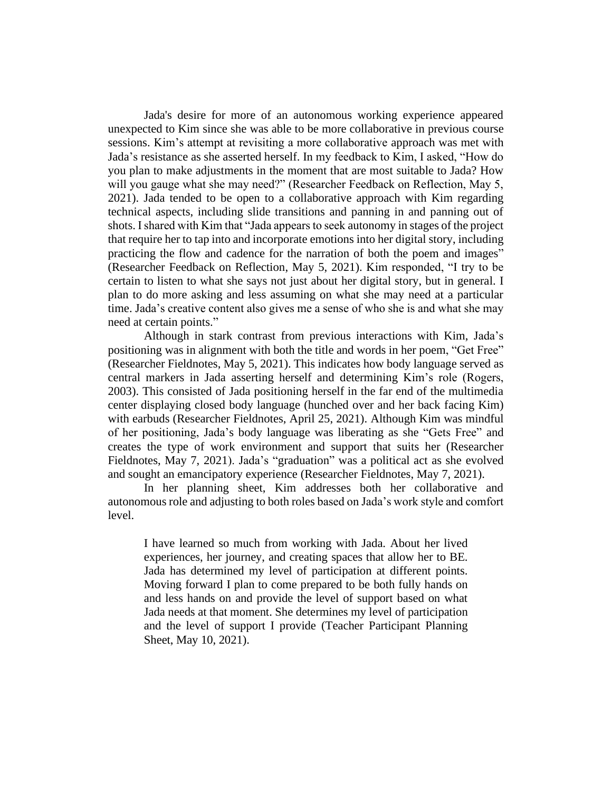Jada's desire for more of an autonomous working experience appeared unexpected to Kim since she was able to be more collaborative in previous course sessions. Kim's attempt at revisiting a more collaborative approach was met with Jada's resistance as she asserted herself. In my feedback to Kim, I asked, "How do you plan to make adjustments in the moment that are most suitable to Jada? How will you gauge what she may need?" (Researcher Feedback on Reflection, May 5, 2021). Jada tended to be open to a collaborative approach with Kim regarding technical aspects, including slide transitions and panning in and panning out of shots. I shared with Kim that "Jada appears to seek autonomy in stages of the project that require her to tap into and incorporate emotions into her digital story, including practicing the flow and cadence for the narration of both the poem and images" (Researcher Feedback on Reflection, May 5, 2021). Kim responded, "I try to be certain to listen to what she says not just about her digital story, but in general. I plan to do more asking and less assuming on what she may need at a particular time. Jada's creative content also gives me a sense of who she is and what she may need at certain points."

Although in stark contrast from previous interactions with Kim, Jada's positioning was in alignment with both the title and words in her poem, "Get Free" (Researcher Fieldnotes, May 5, 2021). This indicates how body language served as central markers in Jada asserting herself and determining Kim's role (Rogers, 2003). This consisted of Jada positioning herself in the far end of the multimedia center displaying closed body language (hunched over and her back facing Kim) with earbuds (Researcher Fieldnotes, April 25, 2021). Although Kim was mindful of her positioning, Jada's body language was liberating as she "Gets Free" and creates the type of work environment and support that suits her (Researcher Fieldnotes, May 7, 2021). Jada's "graduation" was a political act as she evolved and sought an emancipatory experience (Researcher Fieldnotes, May 7, 2021).

In her planning sheet, Kim addresses both her collaborative and autonomous role and adjusting to both roles based on Jada's work style and comfort level.

I have learned so much from working with Jada. About her lived experiences, her journey, and creating spaces that allow her to BE. Jada has determined my level of participation at different points. Moving forward I plan to come prepared to be both fully hands on and less hands on and provide the level of support based on what Jada needs at that moment. She determines my level of participation and the level of support I provide (Teacher Participant Planning Sheet, May 10, 2021).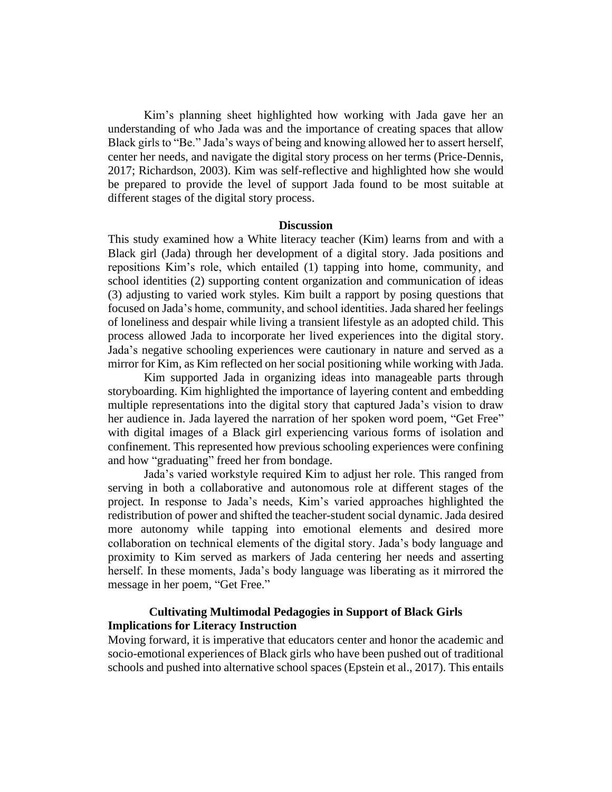Kim's planning sheet highlighted how working with Jada gave her an understanding of who Jada was and the importance of creating spaces that allow Black girls to "Be." Jada's ways of being and knowing allowed her to assert herself, center her needs, and navigate the digital story process on her terms (Price-Dennis, 2017; Richardson, 2003). Kim was self-reflective and highlighted how she would be prepared to provide the level of support Jada found to be most suitable at different stages of the digital story process.

#### **Discussion**

This study examined how a White literacy teacher (Kim) learns from and with a Black girl (Jada) through her development of a digital story. Jada positions and repositions Kim's role, which entailed (1) tapping into home, community, and school identities (2) supporting content organization and communication of ideas (3) adjusting to varied work styles. Kim built a rapport by posing questions that focused on Jada's home, community, and school identities. Jada shared her feelings of loneliness and despair while living a transient lifestyle as an adopted child. This process allowed Jada to incorporate her lived experiences into the digital story. Jada's negative schooling experiences were cautionary in nature and served as a mirror for Kim, as Kim reflected on her social positioning while working with Jada.

Kim supported Jada in organizing ideas into manageable parts through storyboarding. Kim highlighted the importance of layering content and embedding multiple representations into the digital story that captured Jada's vision to draw her audience in. Jada layered the narration of her spoken word poem, "Get Free" with digital images of a Black girl experiencing various forms of isolation and confinement. This represented how previous schooling experiences were confining and how "graduating" freed her from bondage.

Jada's varied workstyle required Kim to adjust her role. This ranged from serving in both a collaborative and autonomous role at different stages of the project. In response to Jada's needs, Kim's varied approaches highlighted the redistribution of power and shifted the teacher-student social dynamic. Jada desired more autonomy while tapping into emotional elements and desired more collaboration on technical elements of the digital story. Jada's body language and proximity to Kim served as markers of Jada centering her needs and asserting herself. In these moments, Jada's body language was liberating as it mirrored the message in her poem, "Get Free."

## **Cultivating Multimodal Pedagogies in Support of Black Girls Implications for Literacy Instruction**

Moving forward, it is imperative that educators center and honor the academic and socio-emotional experiences of Black girls who have been pushed out of traditional schools and pushed into alternative school spaces (Epstein et al., 2017). This entails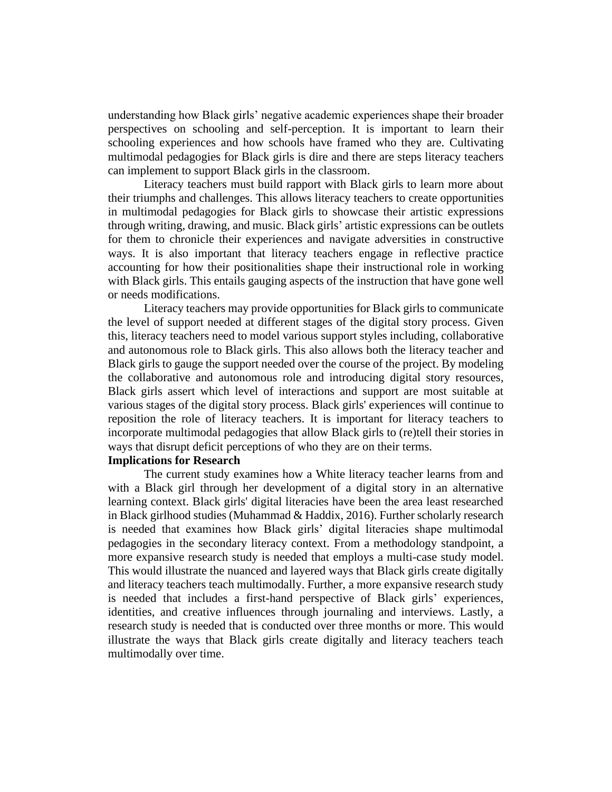understanding how Black girls' negative academic experiences shape their broader perspectives on schooling and self-perception. It is important to learn their schooling experiences and how schools have framed who they are. Cultivating multimodal pedagogies for Black girls is dire and there are steps literacy teachers can implement to support Black girls in the classroom.

Literacy teachers must build rapport with Black girls to learn more about their triumphs and challenges. This allows literacy teachers to create opportunities in multimodal pedagogies for Black girls to showcase their artistic expressions through writing, drawing, and music. Black girls' artistic expressions can be outlets for them to chronicle their experiences and navigate adversities in constructive ways. It is also important that literacy teachers engage in reflective practice accounting for how their positionalities shape their instructional role in working with Black girls. This entails gauging aspects of the instruction that have gone well or needs modifications.

Literacy teachers may provide opportunities for Black girls to communicate the level of support needed at different stages of the digital story process. Given this, literacy teachers need to model various support styles including, collaborative and autonomous role to Black girls. This also allows both the literacy teacher and Black girls to gauge the support needed over the course of the project. By modeling the collaborative and autonomous role and introducing digital story resources, Black girls assert which level of interactions and support are most suitable at various stages of the digital story process. Black girls' experiences will continue to reposition the role of literacy teachers. It is important for literacy teachers to incorporate multimodal pedagogies that allow Black girls to (re)tell their stories in ways that disrupt deficit perceptions of who they are on their terms.

## **Implications for Research**

The current study examines how a White literacy teacher learns from and with a Black girl through her development of a digital story in an alternative learning context. Black girls' digital literacies have been the area least researched in Black girlhood studies (Muhammad & Haddix, 2016). Further scholarly research is needed that examines how Black girls' digital literacies shape multimodal pedagogies in the secondary literacy context. From a methodology standpoint, a more expansive research study is needed that employs a multi-case study model. This would illustrate the nuanced and layered ways that Black girls create digitally and literacy teachers teach multimodally. Further, a more expansive research study is needed that includes a first-hand perspective of Black girls' experiences, identities, and creative influences through journaling and interviews. Lastly, a research study is needed that is conducted over three months or more. This would illustrate the ways that Black girls create digitally and literacy teachers teach multimodally over time.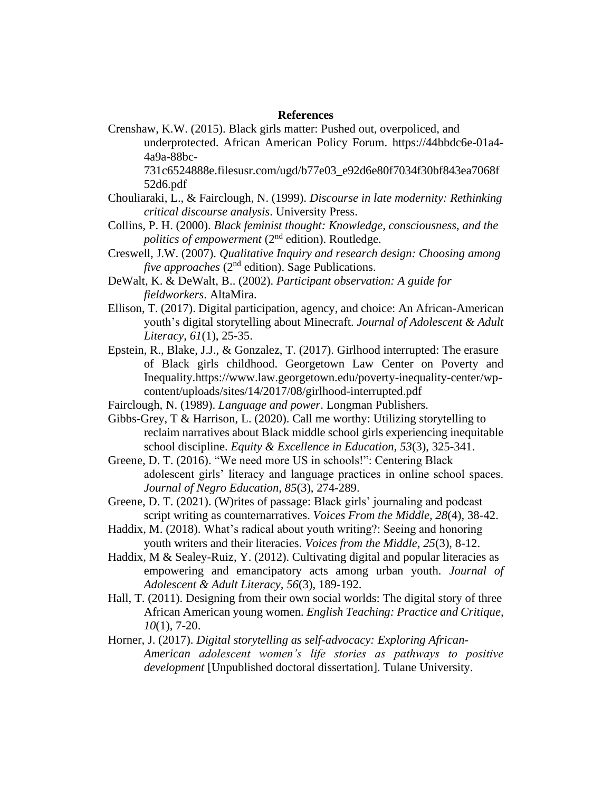## **References**

Crenshaw, K.W. (2015). Black girls matter: Pushed out, overpoliced, and underprotected. African American Policy Forum. https://44bbdc6e-01a4- 4a9a-88bc-

731c6524888e.filesusr.com/ugd/b77e03\_e92d6e80f7034f30bf843ea7068f 52d6.pdf

- Chouliaraki, L., & Fairclough, N. (1999). *Discourse in late modernity: Rethinking critical discourse analysis*. University Press.
- Collins, P. H. (2000). *Black feminist thought: Knowledge, consciousness, and the politics of empowerment* (2<sup>nd</sup> edition). Routledge.
- Creswell, J.W. (2007). *Qualitative Inquiry and research design: Choosing among five approaches* (2<sup>nd</sup> edition). Sage Publications.
- DeWalt, K. & DeWalt, B.. (2002). *Participant observation: A guide for fieldworkers*. AltaMira.
- Ellison, T. (2017). Digital participation, agency, and choice: An African-American youth's digital storytelling about Minecraft. *Journal of Adolescent & Adult Literacy, 61*(1), 25-35.
- Epstein, R., Blake, J.J., & Gonzalez, T. (2017). Girlhood interrupted: The erasure of Black girls childhood. Georgetown Law Center on Poverty and Inequality.https://www.law.georgetown.edu/poverty-inequality-center/wpcontent/uploads/sites/14/2017/08/girlhood-interrupted.pdf
- Fairclough, N. (1989). *Language and power*. Longman Publishers.
- Gibbs-Grey, T & Harrison, L. (2020). Call me worthy: Utilizing storytelling to reclaim narratives about Black middle school girls experiencing inequitable school discipline. *Equity & Excellence in Education, 53*(3), 325-341.
- Greene, D. T. (2016). "We need more US in schools!": Centering Black adolescent girls' literacy and language practices in online school spaces. *Journal of Negro Education, 85*(3), 274-289.
- Greene, D. T. (2021). (W)rites of passage: Black girls' journaling and podcast script writing as counternarratives. *Voices From the Middle, 28*(4), 38-42.
- Haddix, M. (2018). What's radical about youth writing?: Seeing and honoring youth writers and their literacies. *Voices from the Middle, 25*(3), 8-12.
- Haddix, M & Sealey-Ruiz, Y. (2012). Cultivating digital and popular literacies as empowering and emancipatory acts among urban youth*. Journal of Adolescent & Adult Literacy, 56*(3), 189-192.
- Hall, T. (2011). Designing from their own social worlds: The digital story of three African American young women. *English Teaching: Practice and Critique, 10*(1), 7-20.
- Horner, J. (2017). *Digital storytelling as self-advocacy: Exploring African-American adolescent women's life stories as pathways to positive development* [Unpublished doctoral dissertation]. Tulane University.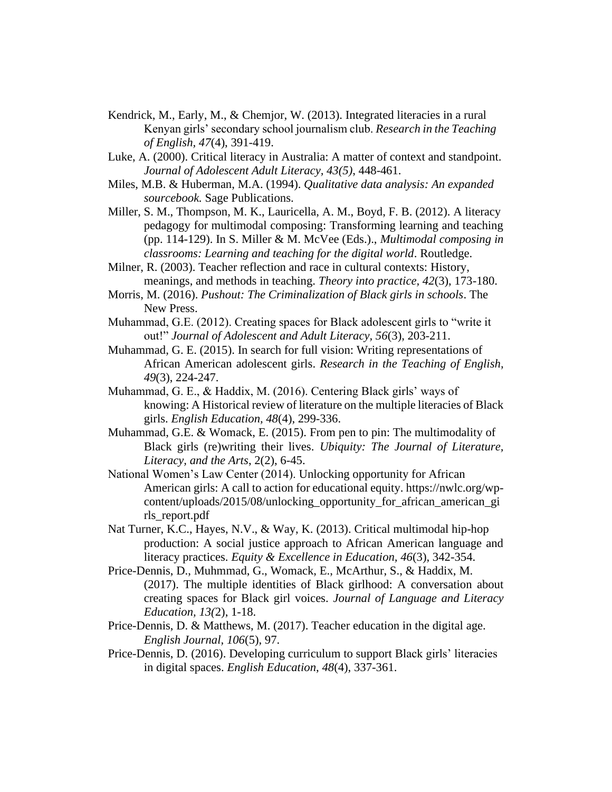- Kendrick, M., Early, M., & Chemjor, W. (2013). Integrated literacies in a rural Kenyan girls' secondary school journalism club. *Research in the Teaching of English, 47*(4), 391-419.
- Luke, A. (2000). Critical literacy in Australia: A matter of context and standpoint. *Journal of Adolescent Adult Literacy, 43(5)*, 448-461.
- Miles, M.B. & Huberman, M.A. (1994). *Qualitative data analysis: An expanded sourcebook.* Sage Publications.
- Miller, S. M., Thompson, M. K., Lauricella, A. M., Boyd, F. B. (2012). A literacy pedagogy for multimodal composing: Transforming learning and teaching (pp. 114-129). In S. Miller & M. McVee (Eds.)., *Multimodal composing in classrooms: Learning and teaching for the digital world*. Routledge.
- Milner, R. (2003). Teacher reflection and race in cultural contexts: History, meanings, and methods in teaching. *Theory into practice, 42*(3), 173-180.
- Morris, M. (2016). *Pushout: The Criminalization of Black girls in schools*. The New Press.
- Muhammad, G.E. (2012). Creating spaces for Black adolescent girls to "write it out!" *Journal of Adolescent and Adult Literacy, 56*(3), 203-211.
- Muhammad, G. E. (2015). In search for full vision: Writing representations of African American adolescent girls. *Research in the Teaching of English, 49*(3), 224-247.
- Muhammad, G. E., & Haddix, M. (2016). Centering Black girls' ways of knowing: A Historical review of literature on the multiple literacies of Black girls. *English Education, 48*(4), 299-336.
- Muhammad, G.E. & Womack, E. (2015). From pen to pin: The multimodality of Black girls (re)writing their lives. *Ubiquity: The Journal of Literature, Literacy, and the Arts*, 2(2), 6-45.
- National Women's Law Center (2014). Unlocking opportunity for African American girls: A call to action for educational equity. https://nwlc.org/wpcontent/uploads/2015/08/unlocking\_opportunity\_for\_african\_american\_gi rls\_report.pdf
- Nat Turner, K.C., Hayes, N.V., & Way, K. (2013). Critical multimodal hip-hop production: A social justice approach to African American language and literacy practices. *Equity & Excellence in Education, 46*(3), 342-354.
- Price-Dennis, D., Muhmmad, G., Womack, E., McArthur, S., & Haddix, M. (2017). The multiple identities of Black girlhood: A conversation about creating spaces for Black girl voices. *Journal of Language and Literacy Education, 13(*2), 1-18.
- Price-Dennis, D. & Matthews, M. (2017). Teacher education in the digital age. *English Journal, 106*(5), 97.
- Price-Dennis, D. (2016). Developing curriculum to support Black girls' literacies in digital spaces. *English Education*, *48*(4), 337-361.